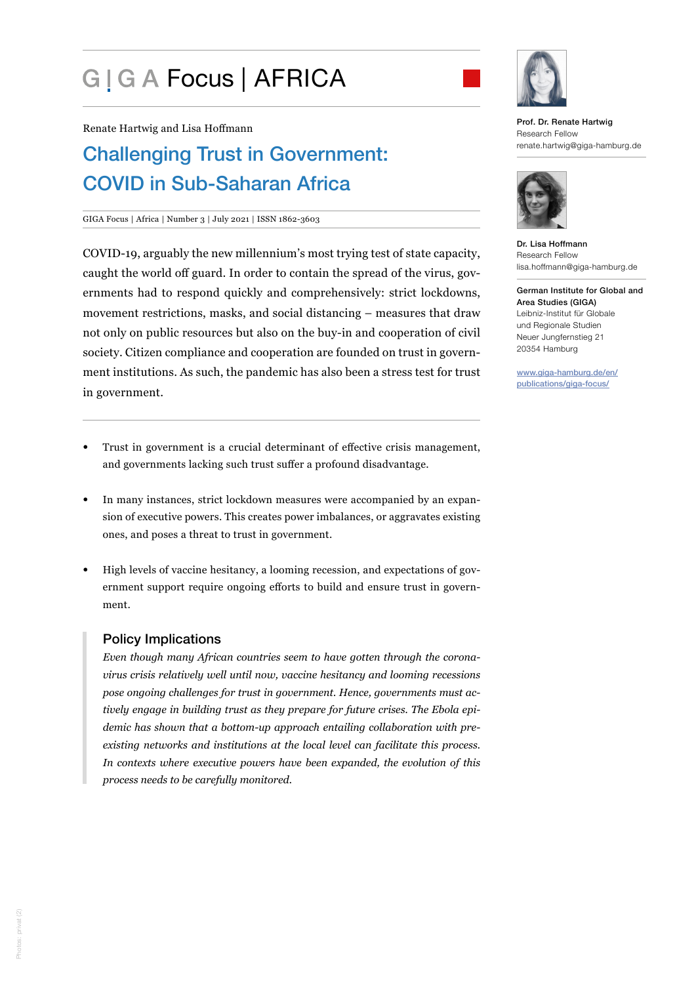# G | G A Focus | AFRICA



Renate Hartwig and Lisa Hoffmann

# Challenging Trust in Government: COVID in Sub-Saharan Africa

#### GIGA Focus | Africa | Number 3 | July 2021 | ISSN 1862-3603

COVID-19, arguably the new millennium's most trying test of state capacity, caught the world off guard. In order to contain the spread of the virus, governments had to respond quickly and comprehensively: strict lockdowns, movement restrictions, masks, and social distancing – measures that draw not only on public resources but also on the buy-in and cooperation of civil society. Citizen compliance and cooperation are founded on trust in government institutions. As such, the pandemic has also been a stress test for trust in government.

- Trust in government is a crucial determinant of effective crisis management, and governments lacking such trust suffer a profound disadvantage.
- In many instances, strict lockdown measures were accompanied by an expansion of executive powers. This creates power imbalances, or aggravates existing ones, and poses a threat to trust in government.
- High levels of vaccine hesitancy, a looming recession, and expectations of government support require ongoing efforts to build and ensure trust in government.

# Policy Implications

*Even though many African countries seem to have gotten through the coronavirus crisis relatively well until now, vaccine hesitancy and looming recessions pose ongoing challenges for trust in government. Hence, governments must actively engage in building trust as they prepare for future crises. The Ebola epidemic has shown that a bottom-up approach entailing collaboration with preexisting networks and institutions at the local level can facilitate this process. In contexts where executive powers have been expanded, the evolution of this process needs to be carefully monitored.* 

Prof. Dr. Renate Hartwig Research Fellow renate.hartwig@giga-hamburg.de



Dr. Lisa Hoffmann Research Fellow lisa.hoffmann@giga-hamburg.de

German Institute for Global and Area Studies (GIGA) Leibniz-Institut für Globale und Regionale Studien Neuer Jungfernstieg 21 20354 Hamburg

[www.giga-hamburg.de/en/](https://www.giga-hamburg.de/en/publications/giga-focus/) [publications/giga-focus/](https://www.giga-hamburg.de/en/publications/giga-focus/)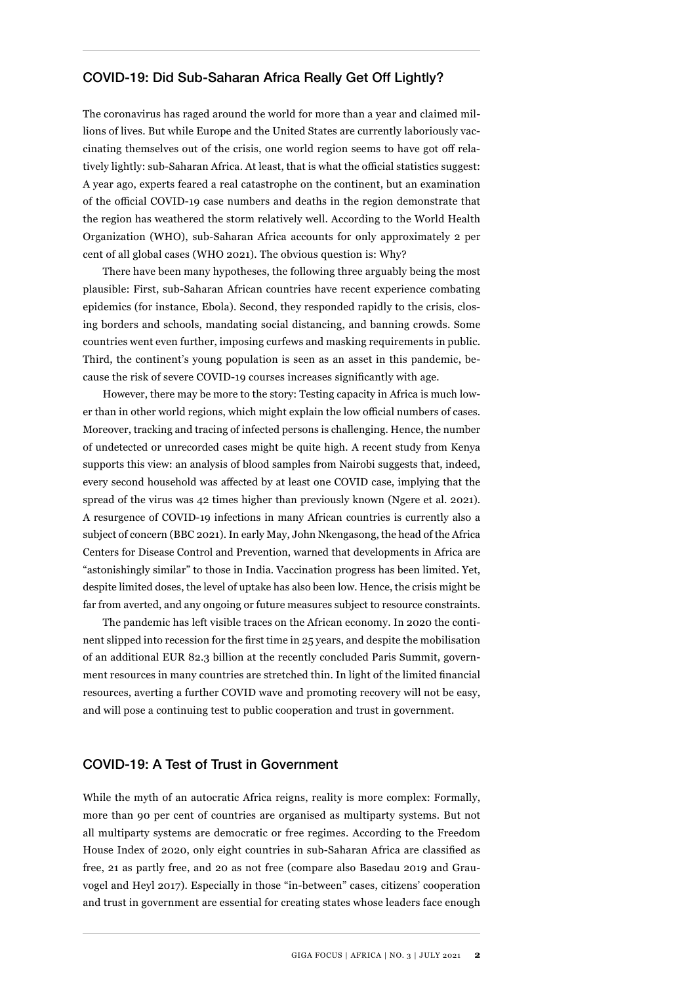#### COVID-19: Did Sub-Saharan Africa Really Get Off Lightly?

The coronavirus has raged around the world for more than a year and claimed millions of lives. But while Europe and the United States are currently laboriously vaccinating themselves out of the crisis, one world region seems to have got off relatively lightly: sub-Saharan Africa. At least, that is what the official statistics suggest: A year ago, experts feared a real catastrophe on the continent, but an examination of the official COVID-19 case numbers and deaths in the region demonstrate that the region has weathered the storm relatively well. According to the World Health Organization (WHO), sub-Saharan Africa accounts for only approximately 2 per cent of all global cases (WHO 2021). The obvious question is: Why?

There have been many hypotheses, the following three arguably being the most plausible: First, sub-Saharan African countries have recent experience combating epidemics (for instance, Ebola). Second, they responded rapidly to the crisis, closing borders and schools, mandating social distancing, and banning crowds. Some countries went even further, imposing curfews and masking requirements in public. Third, the continent's young population is seen as an asset in this pandemic, because the risk of severe COVID-19 courses increases significantly with age.

However, there may be more to the story: Testing capacity in Africa is much lower than in other world regions, which might explain the low official numbers of cases. Moreover, tracking and tracing of infected persons is challenging. Hence, the number of undetected or unrecorded cases might be quite high. A recent study from Kenya supports this view: an analysis of blood samples from Nairobi suggests that, indeed, every second household was affected by at least one COVID case, implying that the spread of the virus was 42 times higher than previously known (Ngere et al. 2021). A resurgence of COVID-19 infections in many African countries is currently also a subject of concern (BBC 2021). In early May, John Nkengasong, the head of the Africa Centers for Disease Control and Prevention, warned that developments in Africa are "astonishingly similar" to those in India. Vaccination progress has been limited. Yet, despite limited doses, the level of uptake has also been low. Hence, the crisis might be far from averted, and any ongoing or future measures subject to resource constraints.

The pandemic has left visible traces on the African economy. In 2020 the continent slipped into recession for the first time in 25 years, and despite the mobilisation of an additional EUR 82.3 billion at the recently concluded Paris Summit, government resources in many countries are stretched thin. In light of the limited financial resources, averting a further COVID wave and promoting recovery will not be easy, and will pose a continuing test to public cooperation and trust in government.

#### COVID-19: A Test of Trust in Government

While the myth of an autocratic Africa reigns, reality is more complex: Formally, more than 90 per cent of countries are organised as multiparty systems. But not all multiparty systems are democratic or free regimes. According to the Freedom House Index of 2020, only eight countries in sub-Saharan Africa are classified as free, 21 as partly free, and 20 as not free (compare also Basedau 2019 and Grauvogel and Heyl 2017). Especially in those "in-between" cases, citizens' cooperation and trust in government are essential for creating states whose leaders face enough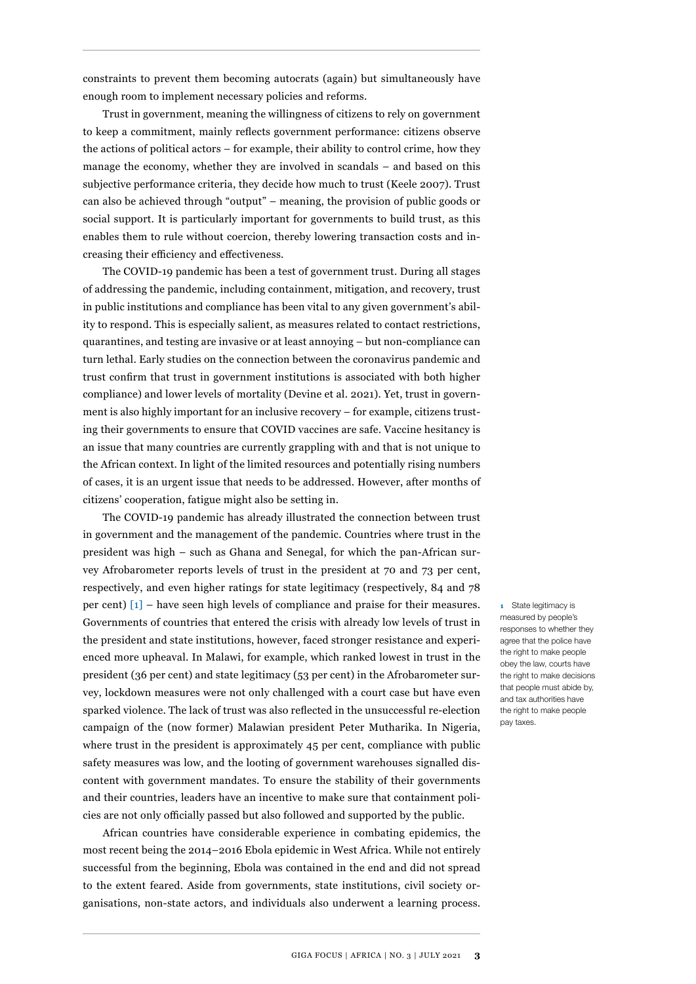constraints to prevent them becoming autocrats (again) but simultaneously have enough room to implement necessary policies and reforms.

Trust in government, meaning the willingness of citizens to rely on government to keep a commitment, mainly reflects government performance: citizens observe the actions of political actors – for example, their ability to control crime, how they manage the economy, whether they are involved in scandals – and based on this subjective performance criteria, they decide how much to trust (Keele 2007). Trust can also be achieved through "output" – meaning, the provision of public goods or social support. It is particularly important for governments to build trust, as this enables them to rule without coercion, thereby lowering transaction costs and increasing their efficiency and effectiveness.

The COVID-19 pandemic has been a test of government trust. During all stages of addressing the pandemic, including containment, mitigation, and recovery, trust in public institutions and compliance has been vital to any given government's ability to respond. This is especially salient, as measures related to contact restrictions, quarantines, and testing are invasive or at least annoying – but non-compliance can turn lethal. Early studies on the connection between the coronavirus pandemic and trust confirm that trust in government institutions is associated with both higher compliance) and lower levels of mortality (Devine et al. 2021). Yet, trust in government is also highly important for an inclusive recovery – for example, citizens trusting their governments to ensure that COVID vaccines are safe. Vaccine hesitancy is an issue that many countries are currently grappling with and that is not unique to the African context. In light of the limited resources and potentially rising numbers of cases, it is an urgent issue that needs to be addressed. However, after months of citizens' cooperation, fatigue might also be setting in.

The COVID-19 pandemic has already illustrated the connection between trust in government and the management of the pandemic. Countries where trust in the president was high – such as Ghana and Senegal, for which the pan-African survey Afrobarometer reports levels of trust in the president at 70 and 73 per cent, respectively, and even higher ratings for state legitimacy (respectively, 84 and 78 per cent) [1] – have seen high levels of compliance and praise for their measures. Governments of countries that entered the crisis with already low levels of trust in the president and state institutions, however, faced stronger resistance and experienced more upheaval. In Malawi, for example, which ranked lowest in trust in the president (36 per cent) and state legitimacy (53 per cent) in the Afrobarometer survey, lockdown measures were not only challenged with a court case but have even sparked violence. The lack of trust was also reflected in the unsuccessful re-election campaign of the (now former) Malawian president Peter Mutharika. In Nigeria, where trust in the president is approximately 45 per cent, compliance with public safety measures was low, and the looting of government warehouses signalled discontent with government mandates. To ensure the stability of their governments and their countries, leaders have an incentive to make sure that containment policies are not only officially passed but also followed and supported by the public.

African countries have considerable experience in combating epidemics, the most recent being the 2014–2016 Ebola epidemic in West Africa. While not entirely successful from the beginning, Ebola was contained in the end and did not spread to the extent feared. Aside from governments, state institutions, civil society organisations, non-state actors, and individuals also underwent a learning process.

**1** State legitimacy is measured by people's responses to whether they agree that the police have the right to make people obey the law, courts have the right to make decisions that people must abide by, and tax authorities have the right to make people pay taxes.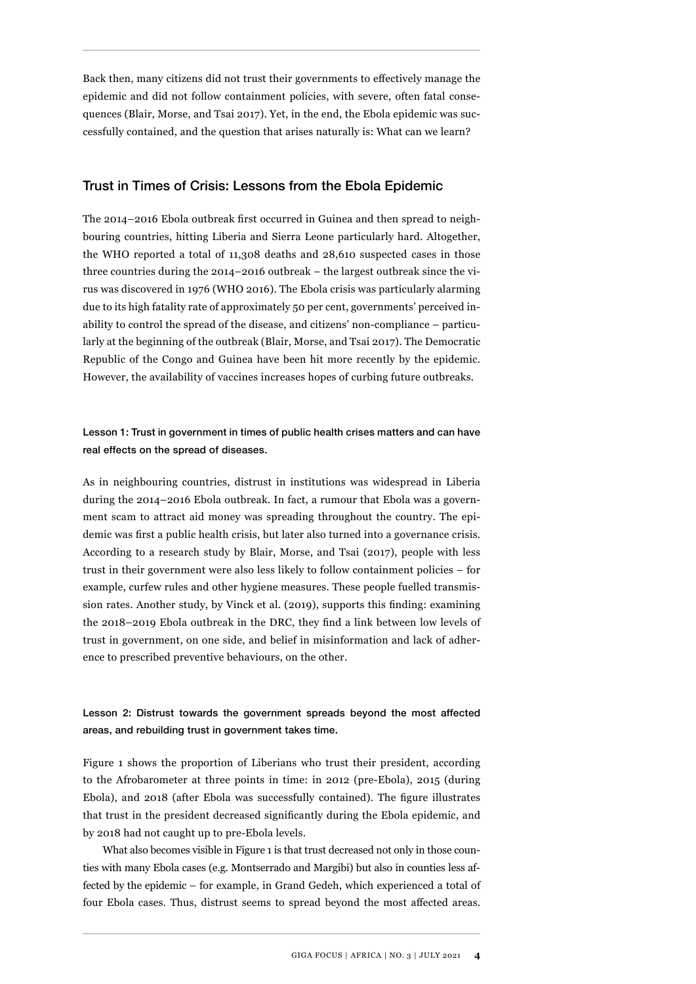Back then, many citizens did not trust their governments to effectively manage the epidemic and did not follow containment policies, with severe, often fatal consequences (Blair, Morse, and Tsai 2017). Yet, in the end, the Ebola epidemic was successfully contained, and the question that arises naturally is: What can we learn?

#### Trust in Times of Crisis: Lessons from the Ebola Epidemic

The 2014–2016 Ebola outbreak first occurred in Guinea and then spread to neighbouring countries, hitting Liberia and Sierra Leone particularly hard. Altogether, the WHO reported a total of 11,308 deaths and 28,610 suspected cases in those three countries during the 2014–2016 outbreak – the largest outbreak since the virus was discovered in 1976 (WHO 2016). The Ebola crisis was particularly alarming due to its high fatality rate of approximately 50 per cent, governments' perceived inability to control the spread of the disease, and citizens' non-compliance – particularly at the beginning of the outbreak (Blair, Morse, and Tsai 2017). The Democratic Republic of the Congo and Guinea have been hit more recently by the epidemic. However, the availability of vaccines increases hopes of curbing future outbreaks.

### Lesson 1: Trust in government in times of public health crises matters and can have real effects on the spread of diseases.

As in neighbouring countries, distrust in institutions was widespread in Liberia during the 2014–2016 Ebola outbreak. In fact, a rumour that Ebola was a government scam to attract aid money was spreading throughout the country. The epidemic was first a public health crisis, but later also turned into a governance crisis. According to a research study by Blair, Morse, and Tsai (2017), people with less trust in their government were also less likely to follow containment policies – for example, curfew rules and other hygiene measures. These people fuelled transmission rates. Another study, by Vinck et al. (2019), supports this finding: examining the 2018–2019 Ebola outbreak in the DRC, they find a link between low levels of trust in government, on one side, and belief in misinformation and lack of adherence to prescribed preventive behaviours, on the other.

# Lesson 2: Distrust towards the government spreads beyond the most affected areas, and rebuilding trust in government takes time.

Figure 1 shows the proportion of Liberians who trust their president, according to the Afrobarometer at three points in time: in 2012 (pre-Ebola), 2015 (during Ebola), and 2018 (after Ebola was successfully contained). The figure illustrates that trust in the president decreased significantly during the Ebola epidemic, and by 2018 had not caught up to pre-Ebola levels.

What also becomes visible in Figure 1 is that trust decreased not only in those counties with many Ebola cases (e.g. Montserrado and Margibi) but also in counties less affected by the epidemic – for example, in Grand Gedeh, which experienced a total of four Ebola cases. Thus, distrust seems to spread beyond the most affected areas.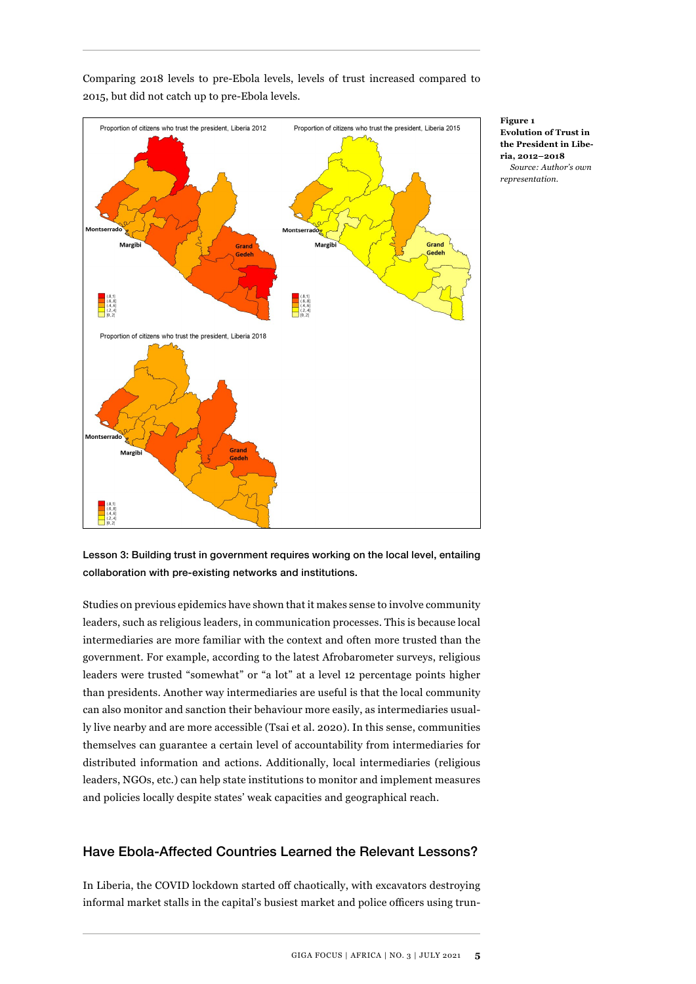

Comparing 2018 levels to pre-Ebola levels, levels of trust increased compared to 2015, but did not catch up to pre-Ebola levels.

> **Figure 1 Evolution of Trust in the President in Liberia, 2012–2018** *Source: Author's own representation.*

Lesson 3: Building trust in government requires working on the local level, entailing collaboration with pre-existing networks and institutions.

Studies on previous epidemics have shown that it makes sense to involve community leaders, such as religious leaders, in communication processes. This is because local intermediaries are more familiar with the context and often more trusted than the government. For example, according to the latest Afrobarometer surveys, religious leaders were trusted "somewhat" or "a lot" at a level 12 percentage points higher than presidents. Another way intermediaries are useful is that the local community can also monitor and sanction their behaviour more easily, as intermediaries usually live nearby and are more accessible (Tsai et al. 2020). In this sense, communities themselves can guarantee a certain level of accountability from intermediaries for distributed information and actions. Additionally, local intermediaries (religious leaders, NGOs, etc.) can help state institutions to monitor and implement measures and policies locally despite states' weak capacities and geographical reach.

# Have Ebola-Affected Countries Learned the Relevant Lessons?

In Liberia, the COVID lockdown started off chaotically, with excavators destroying informal market stalls in the capital's busiest market and police officers using trun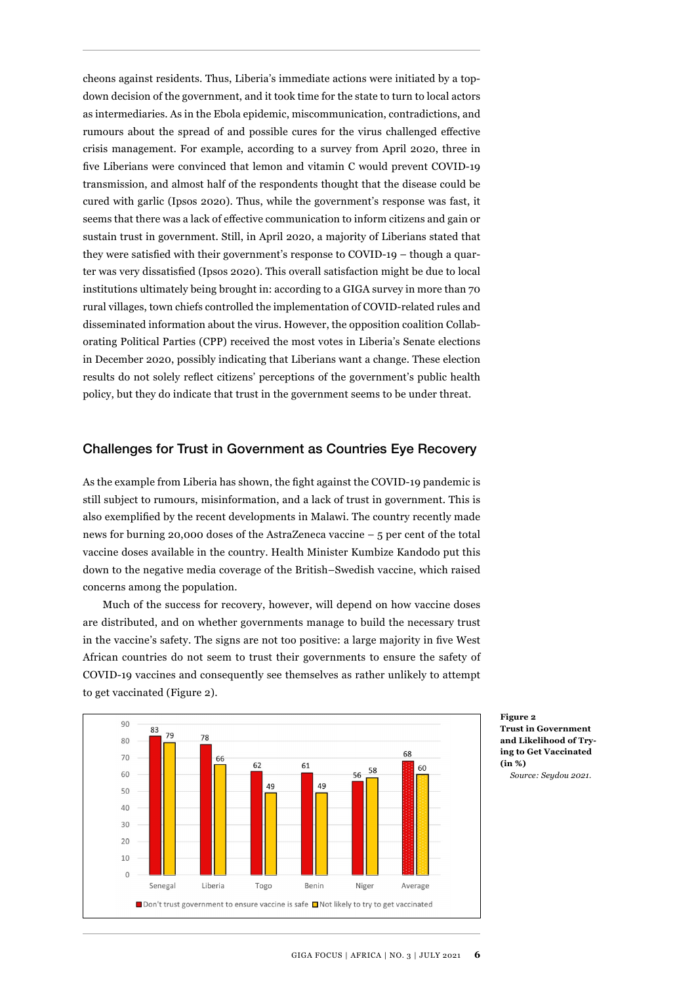cheons against residents. Thus, Liberia's immediate actions were initiated by a topdown decision of the government, and it took time for the state to turn to local actors as intermediaries. As in the Ebola epidemic, miscommunication, contradictions, and rumours about the spread of and possible cures for the virus challenged effective crisis management. For example, according to a survey from April 2020, three in five Liberians were convinced that lemon and vitamin C would prevent COVID-19 transmission, and almost half of the respondents thought that the disease could be cured with garlic (Ipsos 2020). Thus, while the government's response was fast, it seems that there was a lack of effective communication to inform citizens and gain or sustain trust in government. Still, in April 2020, a majority of Liberians stated that they were satisfied with their government's response to COVID-19 – though a quarter was very dissatisfied (Ipsos 2020). This overall satisfaction might be due to local institutions ultimately being brought in: according to a GIGA survey in more than 70 rural villages, town chiefs controlled the implementation of COVID-related rules and disseminated information about the virus. However, the opposition coalition Collaborating Political Parties (CPP) received the most votes in Liberia's Senate elections in December 2020, possibly indicating that Liberians want a change. These election results do not solely reflect citizens' perceptions of the government's public health policy, but they do indicate that trust in the government seems to be under threat.

#### Challenges for Trust in Government as Countries Eye Recovery

As the example from Liberia has shown, the fight against the COVID-19 pandemic is still subject to rumours, misinformation, and a lack of trust in government. This is also exemplified by the recent developments in Malawi. The country recently made news for burning 20,000 doses of the AstraZeneca vaccine – 5 per cent of the total vaccine doses available in the country. Health Minister Kumbize Kandodo put this down to the negative media coverage of the British–Swedish vaccine, which raised concerns among the population.

Much of the success for recovery, however, will depend on how vaccine doses are distributed, and on whether governments manage to build the necessary trust in the vaccine's safety. The signs are not too positive: a large majority in five West African countries do not seem to trust their governments to ensure the safety of COVID-19 vaccines and consequently see themselves as rather unlikely to attempt to get vaccinated (Figure 2).



**Figure 2 Trust in Government and Likelihood of Trying to Get Vaccinated (in %)** 

*Source: Seydou 2021.*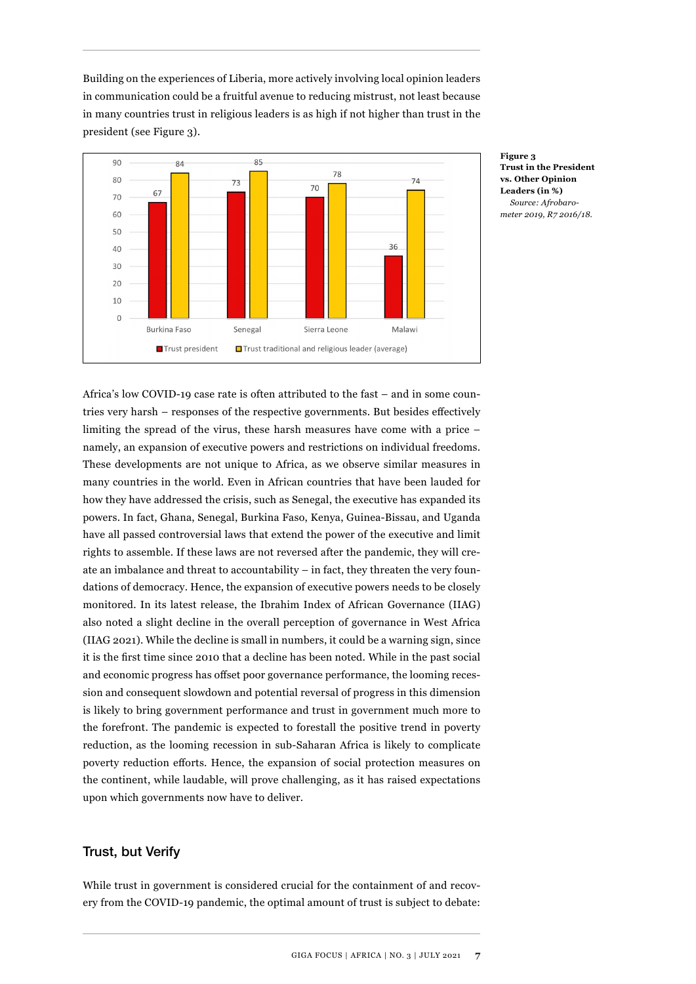Building on the experiences of Liberia, more actively involving local opinion leaders in communication could be a fruitful avenue to reducing mistrust, not least because in many countries trust in religious leaders is as high if not higher than trust in the president (see Figure 3).



**Figure 3 Trust in the President vs. Other Opinion Leaders (in %)** *Source: Afrobarometer 2019, R7 2016/18.*

Africa's low COVID-19 case rate is often attributed to the fast – and in some countries very harsh – responses of the respective governments. But besides effectively limiting the spread of the virus, these harsh measures have come with a price – namely, an expansion of executive powers and restrictions on individual freedoms. These developments are not unique to Africa, as we observe similar measures in many countries in the world. Even in African countries that have been lauded for how they have addressed the crisis, such as Senegal, the executive has expanded its powers. In fact, Ghana, Senegal, Burkina Faso, Kenya, Guinea-Bissau, and Uganda have all passed controversial laws that extend the power of the executive and limit rights to assemble. If these laws are not reversed after the pandemic, they will create an imbalance and threat to accountability – in fact, they threaten the very foundations of democracy. Hence, the expansion of executive powers needs to be closely monitored. In its latest release, the Ibrahim Index of African Governance (IIAG) also noted a slight decline in the overall perception of governance in West Africa (IIAG 2021). While the decline is small in numbers, it could be a warning sign, since it is the first time since 2010 that a decline has been noted. While in the past social and economic progress has offset poor governance performance, the looming recession and consequent slowdown and potential reversal of progress in this dimension is likely to bring government performance and trust in government much more to the forefront. The pandemic is expected to forestall the positive trend in poverty reduction, as the looming recession in sub-Saharan Africa is likely to complicate poverty reduction efforts. Hence, the expansion of social protection measures on the continent, while laudable, will prove challenging, as it has raised expectations upon which governments now have to deliver.

# Trust, but Verify

While trust in government is considered crucial for the containment of and recovery from the COVID-19 pandemic, the optimal amount of trust is subject to debate: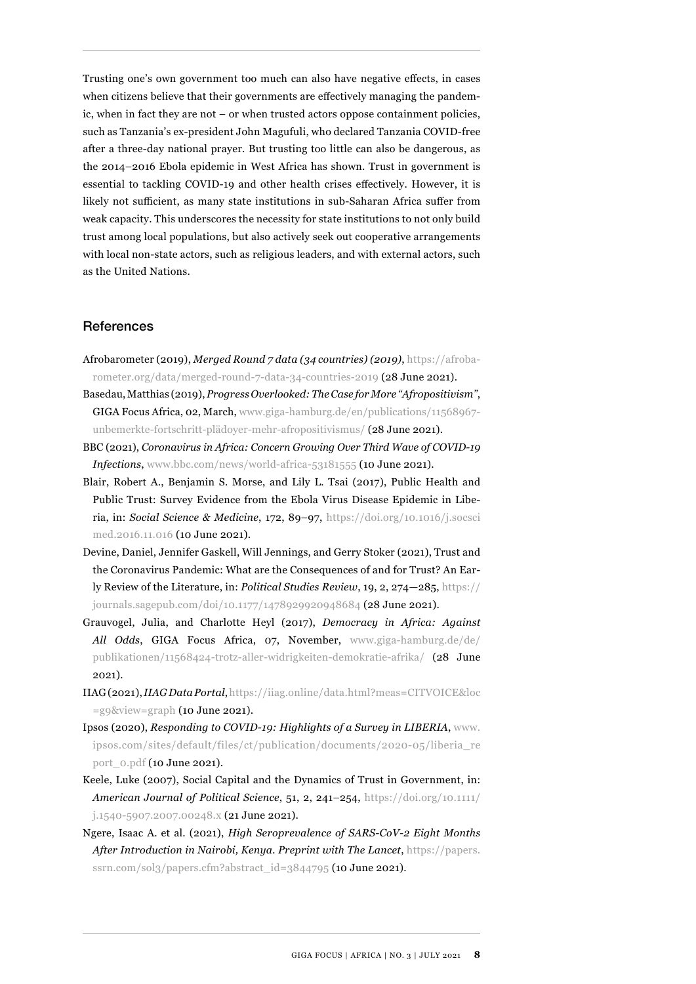Trusting one's own government too much can also have negative effects, in cases when citizens believe that their governments are effectively managing the pandemic, when in fact they are not – or when trusted actors oppose containment policies, such as Tanzania's ex-president John Magufuli, who declared Tanzania COVID-free after a three-day national prayer. But trusting too little can also be dangerous, as the 2014–2016 Ebola epidemic in West Africa has shown. Trust in government is essential to tackling COVID-19 and other health crises effectively. However, it is likely not sufficient, as many state institutions in sub-Saharan Africa suffer from weak capacity. This underscores the necessity for state institutions to not only build trust among local populations, but also actively seek out cooperative arrangements with local non-state actors, such as religious leaders, and with external actors, such as the United Nations.

# References

- Afrobarometer (2019), *Merged Round 7 data (34 countries) (2019)*, [https://afroba](https://afrobarometer.org/data/merged-round-7-data-34-countries-2019)[rometer.org/data/merged-round-7-data-34-countries-2019](https://afrobarometer.org/data/merged-round-7-data-34-countries-2019) (28 June 2021).
- Basedau, Matthias (2019), *Progress Overlooked: The Case for More "Afropositivism"*, GIGA Focus Africa, 02, March, [www.giga-hamburg.de/en/publications/11568967](https://www.giga-hamburg.de/en/publications/11568967-unbemerkte-fortschritt-plädoyer-mehr-afropositivismus/ ) [unbemerkte-fortschritt-plädoyer-mehr-afropositivismus/ \(](https://www.giga-hamburg.de/en/publications/11568967-unbemerkte-fortschritt-plädoyer-mehr-afropositivismus/ )28 June 2021).
- BBC (2021), *Coronavirus in Africa: Concern Growing Over Third Wave of COVID-19 Infections*, [www.bbc.com/news/world-africa-53181555](https://www.bbc.com/news/world-africa-53181555) (10 June 2021).
- Blair, Robert A., Benjamin S. Morse, and Lily L. Tsai (2017), Public Health and Public Trust: Survey Evidence from the Ebola Virus Disease Epidemic in Liberia, in: *Social Science & Medicine*, 172, 89–97, [https://doi.org/10.1016/j.socsci](https://doi.org/10.1016/j.socscimed.2016.11.016) [med.2016.11.016](https://doi.org/10.1016/j.socscimed.2016.11.016) (10 June 2021).
- Devine, Daniel, Jennifer Gaskell, Will Jennings, and Gerry Stoker (2021), Trust and the Coronavirus Pandemic: What are the Consequences of and for Trust? An Early Review of the Literature, in: *Political Studies Review*, 19, 2, 274—285, [https://](https://journals.sagepub.com/doi/10.1177/1478929920948684) [journals.sagepub.com/doi/10.1177/1478929920948684](https://journals.sagepub.com/doi/10.1177/1478929920948684) (28 June 2021).
- Grauvogel, Julia, and Charlotte Heyl (2017), *Democracy in Africa: Against All Odds*, GIGA Focus Africa, 07, November, [www.giga-hamburg.de/de/](https://www.giga-hamburg.de/de/publikationen/11568424-trotz-aller-widrigkeiten-demokratie-afrika/) [publikationen/11568424-trotz-aller-widrigkeiten-demokratie-afrika/](https://www.giga-hamburg.de/de/publikationen/11568424-trotz-aller-widrigkeiten-demokratie-afrika/) (28 June 2021).
- IIAG (2021), *IIAG Data Portal*, [https://iiag.online/data.html?meas=CITVOICE&loc](https://iiag.online/data.html?meas=CITVOICE&loc=g9&view=graph) [=g9&view=graph](https://iiag.online/data.html?meas=CITVOICE&loc=g9&view=graph) (10 June 2021).
- Ipsos (2020), *Responding to COVID-19: Highlights of a Survey in LIBERIA*, [www.](https://www.ipsos.com/sites/default/files/ct/publication/documents/2020-05/liberia_report_0.pdf) [ipsos.com/sites/default/files/ct/publication/documents/2020-05/liberia\\_re](https://www.ipsos.com/sites/default/files/ct/publication/documents/2020-05/liberia_report_0.pdf) [port\\_0.pdf](https://www.ipsos.com/sites/default/files/ct/publication/documents/2020-05/liberia_report_0.pdf) (10 June 2021).
- Keele, Luke (2007), Social Capital and the Dynamics of Trust in Government, in: *American Journal of Political Science*, 51, 2, 241–254, [https://doi.org/10.1111/](https://doi.org/10.1111/j.1540-5907.2007.00248.x) [j.1540-5907.2007.00248.x](https://doi.org/10.1111/j.1540-5907.2007.00248.x) (21 June 2021).
- Ngere, Isaac A. et al. (2021), *High Seroprevalence of SARS-CoV-2 Eight Months After Introduction in Nairobi, Kenya. Preprint with The Lancet*, [https://papers.](https://papers.ssrn.com/sol3/papers.cfm?abstract_id=3844795) [ssrn.com/sol3/papers.cfm?abstract\\_id=3844795](https://papers.ssrn.com/sol3/papers.cfm?abstract_id=3844795) (10 June 2021).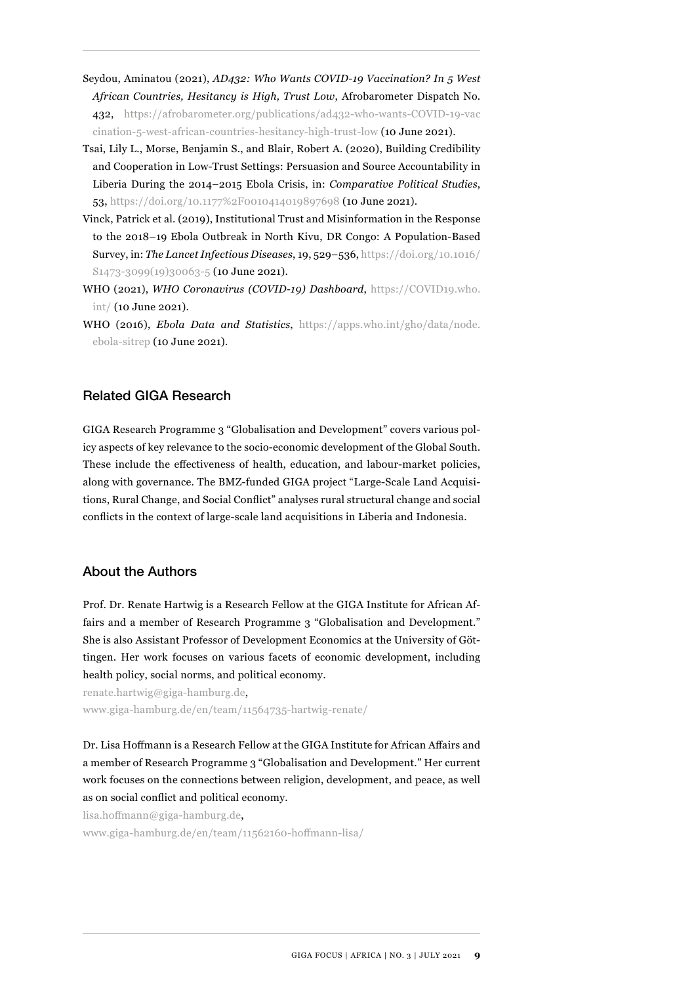- Seydou, Aminatou (2021), *AD432: Who Wants COVID-19 Vaccination? In 5 West African Countries, Hesitancy is High, Trust Low*, Afrobarometer Dispatch No. 432, [https://afrobarometer.org/publications/ad432-who-wants-COVID-19-vac](https://afrobarometer.org/publications/ad432-who-wants-COVID-19-vaccination-5-west-african-countries-hesitancy-high-trust-low) [cination-5-west-african-countries-hesitancy-high-trust-low](https://afrobarometer.org/publications/ad432-who-wants-COVID-19-vaccination-5-west-african-countries-hesitancy-high-trust-low) (10 June 2021).
- Tsai, Lily L., Morse, Benjamin S., and Blair, Robert A. (2020), Building Credibility and Cooperation in Low-Trust Settings: Persuasion and Source Accountability in Liberia During the 2014–2015 Ebola Crisis, in: *Comparative Political Studies*, 53,<https://doi.org/10.1177%2F0010414019897698>(10 June 2021).
- Vinck, Patrick et al. (2019), Institutional Trust and Misinformation in the Response to the 2018–19 Ebola Outbreak in North Kivu, DR Congo: A Population-Based Survey, in: *The Lancet Infectious Diseases*, 19, 529–536, [https://doi.org/10.1016/](https://doi.org/10.1016/S1473-3099(19)30063-5) S<sub>1473</sub>-3099(19)<sub>30063</sub>-5 (10 June 2021).
- WHO (2021), *WHO Coronavirus (COVID-19) Dashboard*, [https://COVID19.who.](https://COVID19.who.int/) [int/](https://COVID19.who.int/) (10 June 2021).
- WHO (2016), *Ebola Data and Statistics*, [https://apps.who.int/gho/data/node.](https://apps.who.int/gho/data/node.ebola-sitrep) [ebola-sitrep](https://apps.who.int/gho/data/node.ebola-sitrep) (10 June 2021).

# Related GIGA Research

GIGA Research Programme 3 "Globalisation and Development" covers various policy aspects of key relevance to the socio-economic development of the Global South. These include the effectiveness of health, education, and labour-market policies, along with governance. The BMZ-funded GIGA project "Large-Scale Land Acquisitions, Rural Change, and Social Conflict" analyses rural structural change and social conflicts in the context of large-scale land acquisitions in Liberia and Indonesia.

### About the Authors

Prof. Dr. Renate Hartwig is a Research Fellow at the GIGA Institute for African Affairs and a member of Research Programme 3 "Globalisation and Development." She is also Assistant Professor of Development Economics at the University of Göttingen. Her work focuses on various facets of economic development, including health policy, social norms, and political economy.

renate.hartwig@giga-hamburg.de, [www.giga-hamburg.de/en/team/11564735-hartwig-renate/](https://www.giga-hamburg.de/en/team/11564735-hartwig-renate/)

Dr. Lisa Hoffmann is a Research Fellow at the GIGA Institute for African Affairs and a member of Research Programme 3 "Globalisation and Development." Her current work focuses on the connections between religion, development, and peace, as well as on social conflict and political economy.

lisa.hoffmann@giga-hamburg.de, [www.giga-hamburg.de/en/team/11562160-hoffmann-lisa/](https://www.giga-hamburg.de/en/team/11562160-hoffmann-lisa/)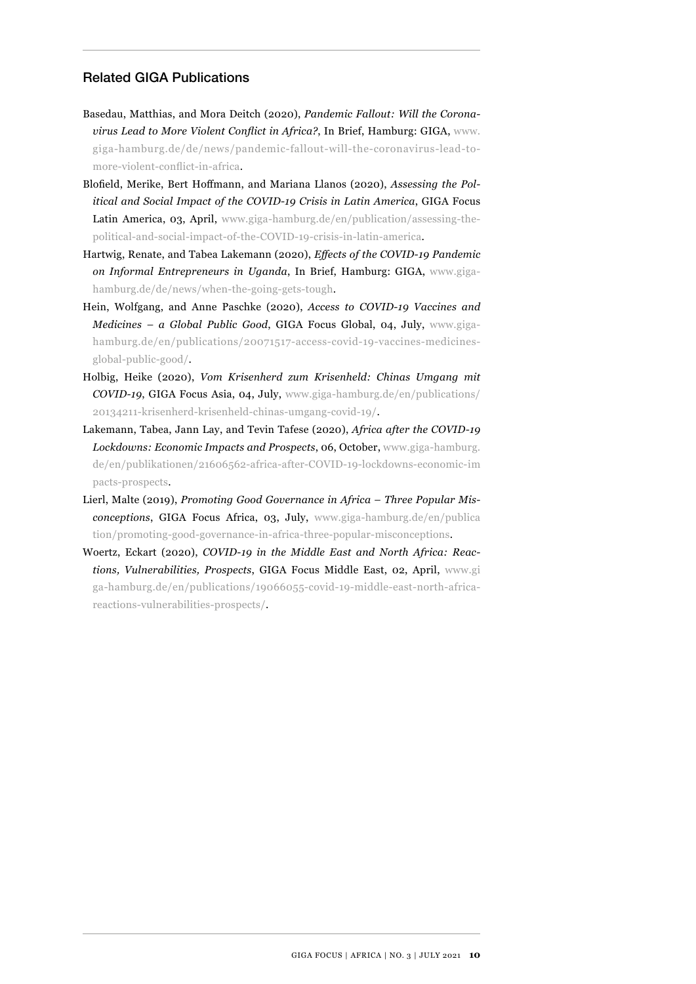# Related GIGA Publications

- Basedau, Matthias, and Mora Deitch (2020), *Pandemic Fallout: Will the Coronavirus Lead to More Violent Conflict in Africa?*, In Brief, Hamburg: GIGA, [www.](https://www.giga-hamburg.de/de/news/pandemic-fallout-will-the-coronavirus-lead-to-more-violent-conflict-in-africa) [giga-hamburg.de/de/news/pandemic-fallout-will-the-coronavirus-lead-to](https://www.giga-hamburg.de/de/news/pandemic-fallout-will-the-coronavirus-lead-to-more-violent-conflict-in-africa)[more-violent-conflict-in-africa](https://www.giga-hamburg.de/de/news/pandemic-fallout-will-the-coronavirus-lead-to-more-violent-conflict-in-africa).
- Blofield, Merike, Bert Hoffmann, and Mariana Llanos (2020), *Assessing the Political and Social Impact of the COVID-19 Crisis in Latin America*, GIGA Focus Latin America, 03, April, [www.giga-hamburg.de/en/publication/assessing-the](https://www.giga-hamburg.de/en/publication/assessing-the-political-and-social-impact-of-the-COVID-19-crisis-in-latin-america)[political-and-social-impact-of-the-COVID-19-crisis-in-latin-america.](https://www.giga-hamburg.de/en/publication/assessing-the-political-and-social-impact-of-the-COVID-19-crisis-in-latin-america)
- Hartwig, Renate, and Tabea Lakemann (2020), *Effects of the COVID-19 Pandemic on Informal Entrepreneurs in Uganda*, In Brief, Hamburg: GIGA, [www.giga](https://www.giga-hamburg.de/de/news/when-the-going-gets-tough)[hamburg.de/de/news/when-the-going-gets-tough](https://www.giga-hamburg.de/de/news/when-the-going-gets-tough).
- Hein, Wolfgang, and Anne Paschke (2020), *Access to COVID-19 Vaccines and Medicines – a Global Public Good*, GIGA Focus Global, 04, July, [www.giga](https://www.giga-hamburg.de/en/publications/20071517-access-covid-19-vaccines-medicines-global-public-good/)[hamburg.de/en/publications/20071517-access-covid-19-vaccines-medicines](https://www.giga-hamburg.de/en/publications/20071517-access-covid-19-vaccines-medicines-global-public-good/)[global-public-good/.](https://www.giga-hamburg.de/en/publications/20071517-access-covid-19-vaccines-medicines-global-public-good/)
- Holbig, Heike (2020), *Vom Krisenherd zum Krisenheld: Chinas Umgang mit COVID-19*, GIGA Focus Asia, 04, July, [www.giga-hamburg.de/en/publications/](https://www.giga-hamburg.de/en/publications/20134211-krisenherd-krisenheld-chinas-umgang-covid-19/)  [20134211-krisenherd-krisenheld-chinas-umgang-covid-19/](https://www.giga-hamburg.de/en/publications/20134211-krisenherd-krisenheld-chinas-umgang-covid-19/).
- Lakemann, Tabea, Jann Lay, and Tevin Tafese (2020), *Africa after the COVID-19 Lockdowns: Economic Impacts and Prospects*, 06, October, [www.giga-hamburg.](https://www.giga-hamburg.de/de/publikationen/21606562-africa-after-COVID-19-lockdowns-economic-impacts-prospects) [de/en/publikationen/21606562-africa-after-COVID-19-lockdowns-economic-im](https://www.giga-hamburg.de/de/publikationen/21606562-africa-after-COVID-19-lockdowns-economic-impacts-prospects) [pacts-prospects.](https://www.giga-hamburg.de/de/publikationen/21606562-africa-after-COVID-19-lockdowns-economic-impacts-prospects)
- Lierl, Malte (2019), *Promoting Good Governance in Africa Three Popular Misconceptions*, GIGA Focus Africa, 03, July, [www.giga-hamburg.de/en/publica](https://www.giga-hamburg.de/en/publication/promoting-good-governance-in-africa-three-popular-misconceptions)  [tion/promoting-good-governance-in-africa-three-popular-misconceptions.](https://www.giga-hamburg.de/en/publication/promoting-good-governance-in-africa-three-popular-misconceptions)
- Woertz, Eckart (2020), *COVID-19 in the Middle East and North Africa: Reactions, Vulnerabilities, Prospects*, GIGA Focus Middle East, 02, April, [www.gi](https://www.giga-hamburg.de/en/publications/19066055-covid-19-middle-east-north-africa-reactions-vulnerabilities-prospects/) [ga-hamburg.de/en/publications/19066055-covid-19-middle-east-north-africa](https://www.giga-hamburg.de/en/publications/19066055-covid-19-middle-east-north-africa-reactions-vulnerabilities-prospects/)[reactions-vulnerabilities-prospects/](https://www.giga-hamburg.de/en/publications/19066055-covid-19-middle-east-north-africa-reactions-vulnerabilities-prospects/).